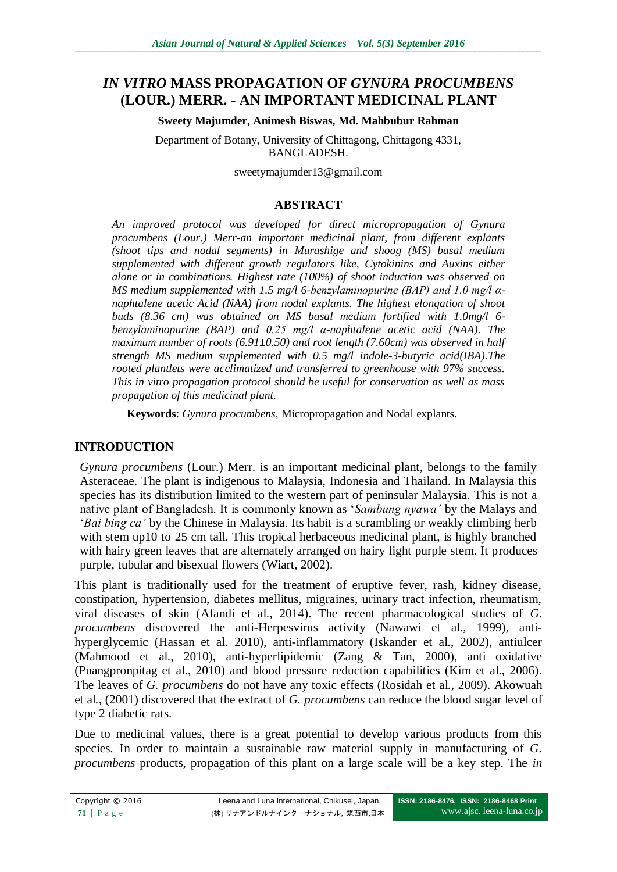# *IN VITRO* **MASS PROPAGATION OF** *GYNURA PROCUMBENS* **(LOUR.) MERR. - AN IMPORTANT MEDICINAL PLANT**

#### **Sweety Majumder, Animesh Biswas, Md. Mahbubur Rahman**

Department of Botany, University of Chittagong, Chittagong 4331, BANGLADESH.

sweetymajumder13@gmail.com

#### **ABSTRACT**

*An improved protocol was developed for direct micropropagation of Gynura procumbens (Lour.) Merr-an important medicinal plant, from different explants (shoot tips and nodal segments) in Murashige and shoog (MS) basal medium supplemented with different growth regulators like, Cytokinins and Auxins either alone or in combinations. Highest rate (100%) of shoot induction was observed on MS medium supplemented with 1.5 mg/l 6-benzylaminopurine (BAP) and 1.0 mg/l αnaphtalene acetic Acid (NAA) from nodal explants. The highest elongation of shoot buds (8.36 cm) was obtained on MS basal medium fortified with 1.0mg/l 6 benzylaminopurine (BAP) and 0.25 mg/l α-naphtalene acetic acid (NAA). The maximum number of roots (6.91±0.50) and root length (7.60cm) was observed in half strength MS medium supplemented with 0.5 mg/l indole-3-butyric acid(IBA).The rooted plantlets were acclimatized and transferred to greenhouse with 97% success. This in vitro propagation protocol should be useful for conservation as well as mass propagation of this medicinal plant.*

**Keywords**: *Gynura procumbens,* Micropropagation and Nodal explants.

## **INTRODUCTION**

*Gynura procumbens* (Lour.) Merr. is an important medicinal plant, belongs to the family Asteraceae. The plant is indigenous to Malaysia, Indonesia and Thailand. In Malaysia this species has its distribution limited to the western part of peninsular Malaysia. This is not a native plant of Bangladesh. It is commonly known as '*Sambung nyawa'* by the Malays and '*Bai bing ca'* by the Chinese in Malaysia. Its habit is a scrambling or weakly climbing herb with stem up10 to 25 cm tall. This tropical herbaceous medicinal plant, is highly branched with hairy green leaves that are alternately arranged on hairy light purple stem. It produces purple, tubular and bisexual flowers (Wiart, 2002).

This plant is traditionally used for the treatment of eruptive fever, rash, kidney disease, constipation, hypertension, diabetes mellitus, migraines, urinary tract infection, rheumatism, viral diseases of skin (Afandi et al., 2014). The recent pharmacological studies of *G. procumbens* discovered the anti-Herpesvirus activity (Nawawi et al., 1999), antihyperglycemic (Hassan et al. 2010), anti-inflammatory (Iskander et al., 2002), antiulcer (Mahmood et al., 2010), anti-hyperlipidemic (Zang & Tan, 2000), anti oxidative (Puangpronpitag et al., 2010) and blood pressure reduction capabilities (Kim et al., 2006). The leaves of *G. procumbens* do not have any toxic effects (Rosidah et al*.,* 2009). Akowuah et al*.,* (2001) discovered that the extract of *G. procumbens* can reduce the blood sugar level of type 2 diabetic rats.

Due to medicinal values, there is a great potential to develop various products from this species. In order to maintain a sustainable raw material supply in manufacturing of *G. procumbens* products, propagation of this plant on a large scale will be a key step. The *in*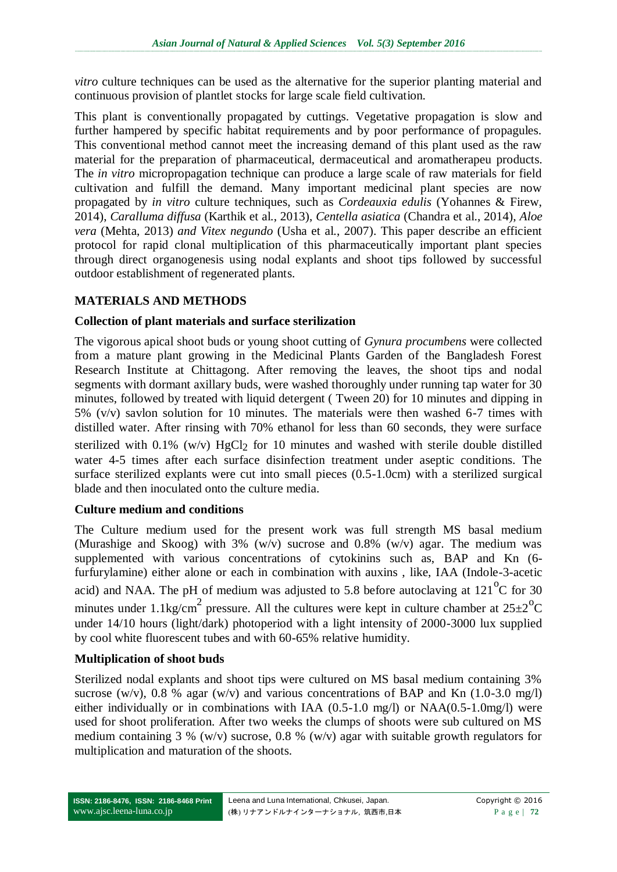*vitro* culture techniques can be used as the alternative for the superior planting material and continuous provision of plantlet stocks for large scale field cultivation.

This plant is conventionally propagated by cuttings. Vegetative propagation is slow and further hampered by specific habitat requirements and by poor performance of propagules. This conventional method cannot meet the increasing demand of this plant used as the raw material for the preparation of pharmaceutical, dermaceutical and aromatherapeu products. The *in vitro* micropropagation technique can produce a large scale of raw materials for field cultivation and fulfill the demand. Many important medicinal plant species are now propagated by *in vitro* culture techniques, such as *Cordeauxia edulis* (Yohannes & Firew, 2014), *Caralluma diffusa* (Karthik et al., 2013), *Centella asiatica* (Chandra et al., 2014), *Aloe vera* (Mehta, 2013) *and Vitex negundo* (Usha et al., 2007). This paper describe an efficient protocol for rapid clonal multiplication of this pharmaceutically important plant species through direct organogenesis using nodal explants and shoot tips followed by successful outdoor establishment of regenerated plants.

# **MATERIALS AND METHODS**

#### **Collection of plant materials and surface sterilization**

The vigorous apical shoot buds or young shoot cutting of *Gynura procumbens* were collected from a mature plant growing in the Medicinal Plants Garden of the Bangladesh Forest Research Institute at Chittagong. After removing the leaves, the shoot tips and nodal segments with dormant axillary buds, were washed thoroughly under running tap water for 30 minutes, followed by treated with liquid detergent ( Tween 20) for 10 minutes and dipping in 5% (v/v) savlon solution for 10 minutes. The materials were then washed 6-7 times with distilled water. After rinsing with 70% ethanol for less than 60 seconds, they were surface sterilized with  $0.1\%$  (w/v) HgCl<sub>2</sub> for 10 minutes and washed with sterile double distilled water 4-5 times after each surface disinfection treatment under aseptic conditions. The surface sterilized explants were cut into small pieces (0.5-1.0cm) with a sterilized surgical blade and then inoculated onto the culture media.

#### **Culture medium and conditions**

The Culture medium used for the present work was full strength MS basal medium (Murashige and Skoog) with 3%  $(w/v)$  sucrose and 0.8%  $(w/v)$  agar. The medium was supplemented with various concentrations of cytokinins such as, BAP and Kn (6 furfurylamine) either alone or each in combination with auxins , like, IAA (Indole-3-acetic acid) and NAA. The pH of medium was adjusted to 5.8 before autoclaving at  $121^{\circ}$ C for 30 minutes under 1.1kg/cm<sup>2</sup> pressure. All the cultures were kept in culture chamber at  $25\pm2\degree C$ under 14/10 hours (light/dark) photoperiod with a light intensity of 2000-3000 lux supplied by cool white fluorescent tubes and with 60-65% relative humidity.

## **Multiplication of shoot buds**

Sterilized nodal explants and shoot tips were cultured on MS basal medium containing 3% sucrose (w/v), 0.8 % agar (w/v) and various concentrations of BAP and Kn  $(1.0\n-3.0 \text{ mg/l})$ either individually or in combinations with IAA (0.5-1.0 mg/l) or NAA(0.5-1.0mg/l) were used for shoot proliferation. After two weeks the clumps of shoots were sub cultured on MS medium containing 3 % (w/v) sucrose, 0.8 % (w/v) agar with suitable growth regulators for multiplication and maturation of the shoots.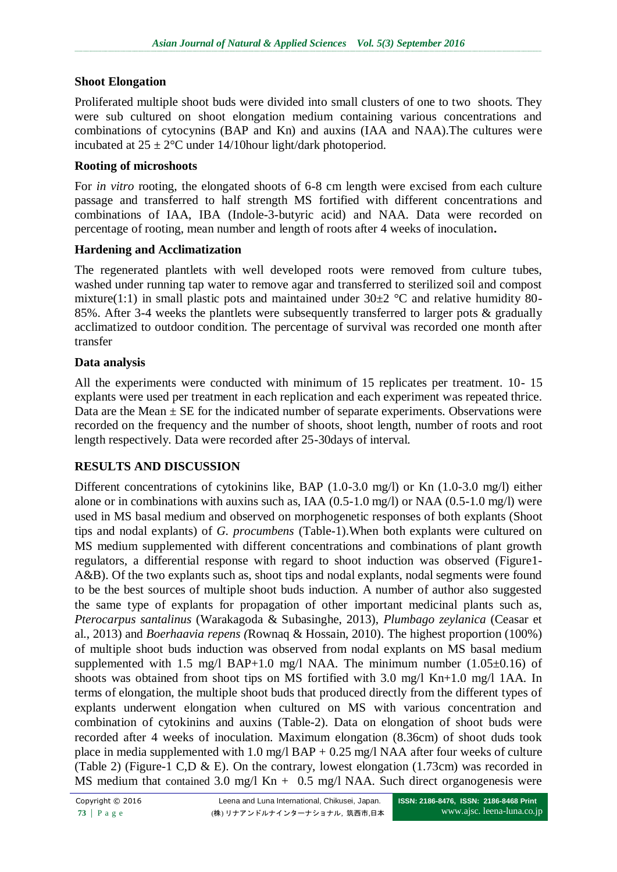## **Shoot Elongation**

Proliferated multiple shoot buds were divided into small clusters of one to two shoots. They were sub cultured on shoot elongation medium containing various concentrations and combinations of cytocynins (BAP and Kn) and auxins (IAA and NAA).The cultures were incubated at  $25 \pm 2$ °C under 14/10 hour light/dark photoperiod.

#### **Rooting of microshoots**

For *in vitro* rooting, the elongated shoots of 6-8 cm length were excised from each culture passage and transferred to half strength MS fortified with different concentrations and combinations of IAA, IBA (Indole-3-butyric acid) and NAA. Data were recorded on percentage of rooting, mean number and length of roots after 4 weeks of inoculation**.**

#### **Hardening and Acclimatization**

The regenerated plantlets with well developed roots were removed from culture tubes, washed under running tap water to remove agar and transferred to sterilized soil and compost mixture(1:1) in small plastic pots and maintained under  $30\pm2$  °C and relative humidity 80-85%. After 3-4 weeks the plantlets were subsequently transferred to larger pots & gradually acclimatized to outdoor condition. The percentage of survival was recorded one month after transfer

#### **Data analysis**

All the experiments were conducted with minimum of 15 replicates per treatment. 10- 15 explants were used per treatment in each replication and each experiment was repeated thrice. Data are the Mean  $\pm$  SE for the indicated number of separate experiments. Observations were recorded on the frequency and the number of shoots, shoot length, number of roots and root length respectively. Data were recorded after 25-30days of interval.

## **RESULTS AND DISCUSSION**

Different concentrations of cytokinins like, BAP (1.0-3.0 mg/l) or Kn (1.0-3.0 mg/l) either alone or in combinations with auxins such as, IAA (0.5-1.0 mg/l) or NAA (0.5-1.0 mg/l) were used in MS basal medium and observed on morphogenetic responses of both explants (Shoot tips and nodal explants) of *G. procumbens* (Table-1).When both explants were cultured on MS medium supplemented with different concentrations and combinations of plant growth regulators, a differential response with regard to shoot induction was observed (Figure1- A&B). Of the two explants such as, shoot tips and nodal explants, nodal segments were found to be the best sources of multiple shoot buds induction. A number of author also suggested the same type of explants for propagation of other important medicinal plants such as, *Pterocarpus santalinus* (Warakagoda & Subasinghe, 2013), *Plumbago zeylanica* (Ceasar et al., 2013) and *Boerhaavia repens (*Rownaq & Hossain, 2010). The highest proportion (100%) of multiple shoot buds induction was observed from nodal explants on MS basal medium supplemented with 1.5 mg/l BAP+1.0 mg/l NAA. The minimum number  $(1.05\pm0.16)$  of shoots was obtained from shoot tips on MS fortified with 3.0 mg/l Kn+1.0 mg/l 1AA. In terms of elongation, the multiple shoot buds that produced directly from the different types of explants underwent elongation when cultured on MS with various concentration and combination of cytokinins and auxins (Table-2). Data on elongation of shoot buds were recorded after 4 weeks of inoculation. Maximum elongation (8.36cm) of shoot duds took place in media supplemented with 1.0 mg/l BAP +  $0.25$  mg/l NAA after four weeks of culture (Table 2) (Figure-1 C,D & E). On the contrary, lowest elongation (1.73cm) was recorded in MS medium that contained 3.0 mg/l Kn + 0.5 mg/l NAA. Such direct organogenesis were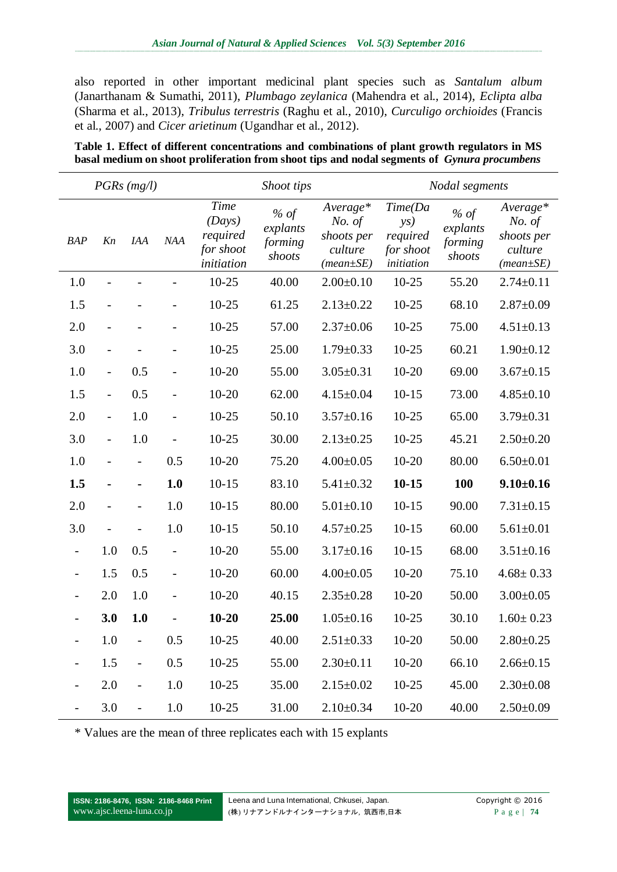also reported in other important medicinal plant species such as *Santalum album*  (Janarthanam & Sumathi, 2011), *Plumbago zeylanica* (Mahendra et al., 2014), *Eclipta alba*  (Sharma et al., 2013), *Tribulus terrestris* (Raghu et al., 2010), *Curculigo orchioides* (Francis et al., 2007) and *Cicer arietinum* (Ugandhar et al., 2012).

| Table 1. Effect of different concentrations and combinations of plant growth regulators in MS      |  |
|----------------------------------------------------------------------------------------------------|--|
| basal medium on shoot proliferation from shoot tips and nodal segments of <i>Gynura procumbens</i> |  |

| $PGRs$ (mg/l)            |                |                          | Shoot tips               |                                                              |                                         | Nodal segments                                                 |                                                                          |                                         |                                                                |
|--------------------------|----------------|--------------------------|--------------------------|--------------------------------------------------------------|-----------------------------------------|----------------------------------------------------------------|--------------------------------------------------------------------------|-----------------------------------------|----------------------------------------------------------------|
| <b>BAP</b>               | Kn             | <b>IAA</b>               | NAA                      | <b>Time</b><br>(Days)<br>required<br>for shoot<br>initiation | $%$ of<br>explants<br>forming<br>shoots | Average*<br>No. of<br>shoots per<br>culture<br>$(mean \pm SE)$ | Time(Da<br>$\mathbf{y}\mathbf{s}$<br>required<br>for shoot<br>initiation | $%$ of<br>explants<br>forming<br>shoots | Average*<br>No. of<br>shoots per<br>culture<br>$(mean \pm SE)$ |
| 1.0                      |                |                          |                          | $10 - 25$                                                    | 40.00                                   | $2.00 \pm 0.10$                                                | $10 - 25$                                                                | 55.20                                   | $2.74 \pm 0.11$                                                |
| 1.5                      |                |                          |                          | $10 - 25$                                                    | 61.25                                   | $2.13 \pm 0.22$                                                | $10 - 25$                                                                | 68.10                                   | $2.87 \pm 0.09$                                                |
| 2.0                      |                |                          |                          | $10 - 25$                                                    | 57.00                                   | $2.37 \pm 0.06$                                                | $10 - 25$                                                                | 75.00                                   | $4.51 \pm 0.13$                                                |
| 3.0                      |                |                          |                          | $10 - 25$                                                    | 25.00                                   | $1.79 \pm 0.33$                                                | $10 - 25$                                                                | 60.21                                   | $1.90 \pm 0.12$                                                |
| 1.0                      | $\overline{a}$ | 0.5                      |                          | $10 - 20$                                                    | 55.00                                   | $3.05 \pm 0.31$                                                | $10 - 20$                                                                | 69.00                                   | $3.67 \pm 0.15$                                                |
| 1.5                      | $\overline{a}$ | 0.5                      |                          | $10 - 20$                                                    | 62.00                                   | $4.15 \pm 0.04$                                                | $10-15$                                                                  | 73.00                                   | $4.85 \pm 0.10$                                                |
| 2.0                      | $\overline{a}$ | 1.0                      |                          | $10-25$                                                      | 50.10                                   | $3.57 \pm 0.16$                                                | $10 - 25$                                                                | 65.00                                   | $3.79 \pm 0.31$                                                |
| 3.0                      | $\overline{a}$ | 1.0                      |                          | $10 - 25$                                                    | 30.00                                   | $2.13 \pm 0.25$                                                | $10 - 25$                                                                | 45.21                                   | $2.50 \pm 0.20$                                                |
| 1.0                      |                | $\overline{\phantom{0}}$ | 0.5                      | $10 - 20$                                                    | 75.20                                   | $4.00 \pm 0.05$                                                | $10 - 20$                                                                | 80.00                                   | $6.50 \pm 0.01$                                                |
| 1.5                      |                | -                        | 1.0                      | $10 - 15$                                                    | 83.10                                   | $5.41 \pm 0.32$                                                | $10 - 15$                                                                | <b>100</b>                              | $9.10 \pm 0.16$                                                |
| 2.0                      |                |                          | 1.0                      | $10 - 15$                                                    | 80.00                                   | $5.01 \pm 0.10$                                                | $10-15$                                                                  | 90.00                                   | $7.31 \pm 0.15$                                                |
| 3.0                      |                |                          | 1.0                      | $10 - 15$                                                    | 50.10                                   | $4.57 \pm 0.25$                                                | $10-15$                                                                  | 60.00                                   | $5.61 \pm 0.01$                                                |
| $\overline{\phantom{a}}$ | 1.0            | 0.5                      | $\overline{\phantom{0}}$ | $10 - 20$                                                    | 55.00                                   | $3.17 \pm 0.16$                                                | $10-15$                                                                  | 68.00                                   | $3.51 \pm 0.16$                                                |
|                          | 1.5            | 0.5                      | $\overline{\phantom{0}}$ | $10 - 20$                                                    | 60.00                                   | $4.00 \pm 0.05$                                                | $10 - 20$                                                                | 75.10                                   | $4.68 \pm 0.33$                                                |
|                          | 2.0            | 1.0                      |                          | $10 - 20$                                                    | 40.15                                   | $2.35 \pm 0.28$                                                | $10 - 20$                                                                | 50.00                                   | $3.00 \pm 0.05$                                                |
|                          | 3.0            | 1.0                      |                          | $10 - 20$                                                    | 25.00                                   | $1.05 \pm 0.16$                                                | $10 - 25$                                                                | 30.10                                   | $1.60 \pm 0.23$                                                |
|                          | 1.0            |                          | 0.5                      | $10 - 25$                                                    | 40.00                                   | $2.51 \pm 0.33$                                                | $10-20$                                                                  | 50.00                                   | $2.80 \pm 0.25$                                                |
|                          | 1.5            | $\overline{\phantom{0}}$ | 0.5                      | $10 - 25$                                                    | 55.00                                   | $2.30 \pm 0.11$                                                | $10 - 20$                                                                | 66.10                                   | $2.66 \pm 0.15$                                                |
|                          | 2.0            | $\overline{\phantom{0}}$ | 1.0                      | $10 - 25$                                                    | 35.00                                   | $2.15 \pm 0.02$                                                | $10 - 25$                                                                | 45.00                                   | $2.30 \pm 0.08$                                                |
|                          | 3.0            | $\overline{\phantom{0}}$ | 1.0                      | $10 - 25$                                                    | 31.00                                   | $2.10 \pm 0.34$                                                | $10 - 20$                                                                | 40.00                                   | $2.50 \pm 0.09$                                                |

\* Values are the mean of three replicates each with 15 explants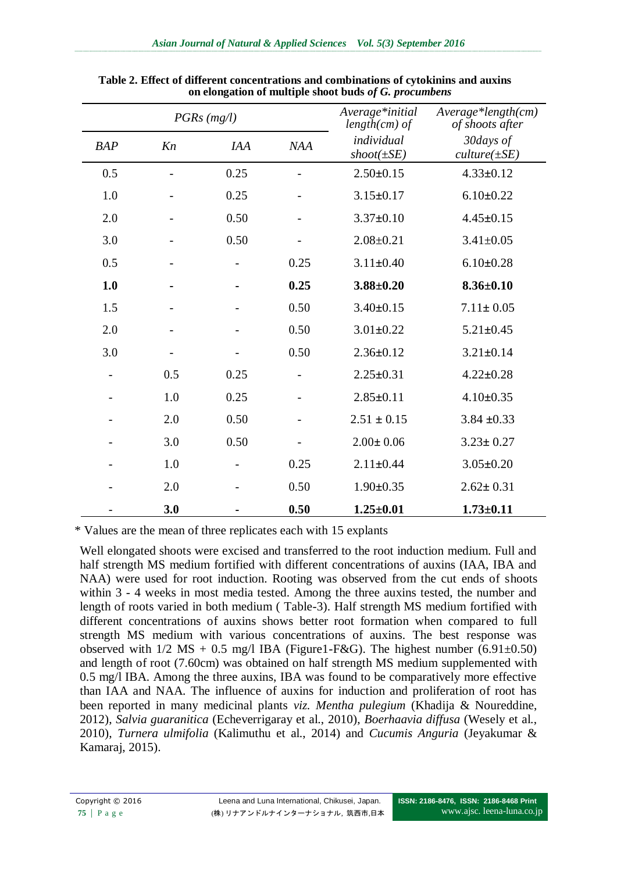|            |     | $PGRs$ (mg/l) | Average*initial<br>$length(cm)$ of | Average*length(cm)<br>of shoots after  |                                 |
|------------|-----|---------------|------------------------------------|----------------------------------------|---------------------------------|
| <b>BAP</b> | Kn  | <b>IAA</b>    | <b>NAA</b>                         | individual<br>$\mathit{shoot}(\pm SE)$ | 30 days of<br>$culture(\pm SE)$ |
| 0.5        |     | 0.25          |                                    | $2.50 \pm 0.15$                        | $4.33 \pm 0.12$                 |
| 1.0        |     | 0.25          |                                    | $3.15 \pm 0.17$                        | $6.10 \pm 0.22$                 |
| 2.0        |     | 0.50          |                                    | $3.37 \pm 0.10$                        | $4.45 \pm 0.15$                 |
| 3.0        |     | 0.50          |                                    | $2.08 \pm 0.21$                        | $3.41 \pm 0.05$                 |
| 0.5        |     |               | 0.25                               | $3.11 \pm 0.40$                        | $6.10 \pm 0.28$                 |
| 1.0        |     |               | 0.25                               | $3.88 \pm 0.20$                        | $8.36 \pm 0.10$                 |
| 1.5        |     |               | 0.50                               | $3.40 \pm 0.15$                        | $7.11 \pm 0.05$                 |
| 2.0        |     |               | 0.50                               | $3.01 \pm 0.22$                        | $5.21 \pm 0.45$                 |
| 3.0        |     |               | 0.50                               | $2.36 \pm 0.12$                        | $3.21 \pm 0.14$                 |
|            | 0.5 | 0.25          |                                    | $2.25 \pm 0.31$                        | $4.22 \pm 0.28$                 |
|            | 1.0 | 0.25          |                                    | $2.85 \pm 0.11$                        | $4.10 \pm 0.35$                 |
|            | 2.0 | 0.50          |                                    | $2.51 \pm 0.15$                        | $3.84 \pm 0.33$                 |
|            | 3.0 | 0.50          |                                    | $2.00 \pm 0.06$                        | $3.23 \pm 0.27$                 |
|            | 1.0 |               | 0.25                               | $2.11 \pm 0.44$                        | $3.05 \pm 0.20$                 |
|            | 2.0 |               | 0.50                               | $1.90 \pm 0.35$                        | $2.62 \pm 0.31$                 |
|            | 3.0 |               | 0.50                               | $1.25 \pm 0.01$                        | $1.73 \pm 0.11$                 |

**Table 2. Effect of different concentrations and combinations of cytokinins and auxins on elongation of multiple shoot buds** *of G. procumbens*

\* Values are the mean of three replicates each with 15 explants

Well elongated shoots were excised and transferred to the root induction medium. Full and half strength MS medium fortified with different concentrations of auxins (IAA, IBA and NAA) were used for root induction. Rooting was observed from the cut ends of shoots within 3 - 4 weeks in most media tested. Among the three auxins tested, the number and length of roots varied in both medium ( Table-3). Half strength MS medium fortified with different concentrations of auxins shows better root formation when compared to full strength MS medium with various concentrations of auxins. The best response was observed with  $1/2$  MS + 0.5 mg/l IBA (Figure1-F&G). The highest number (6.91 $\pm$ 0.50) and length of root (7.60cm) was obtained on half strength MS medium supplemented with 0.5 mg/l IBA. Among the three auxins, IBA was found to be comparatively more effective than IAA and NAA. The influence of auxins for induction and proliferation of root has been reported in many medicinal plants *viz. Mentha pulegium* (Khadija & Noureddine, 2012), *Salvia guaranitica* (Echeverrigaray et al., 2010), *Boerhaavia diffusa* (Wesely et al., 2010), *Turnera ulmifolia* (Kalimuthu et al., 2014) and *Cucumis Anguria* (Jeyakumar & Kamaraj, 2015).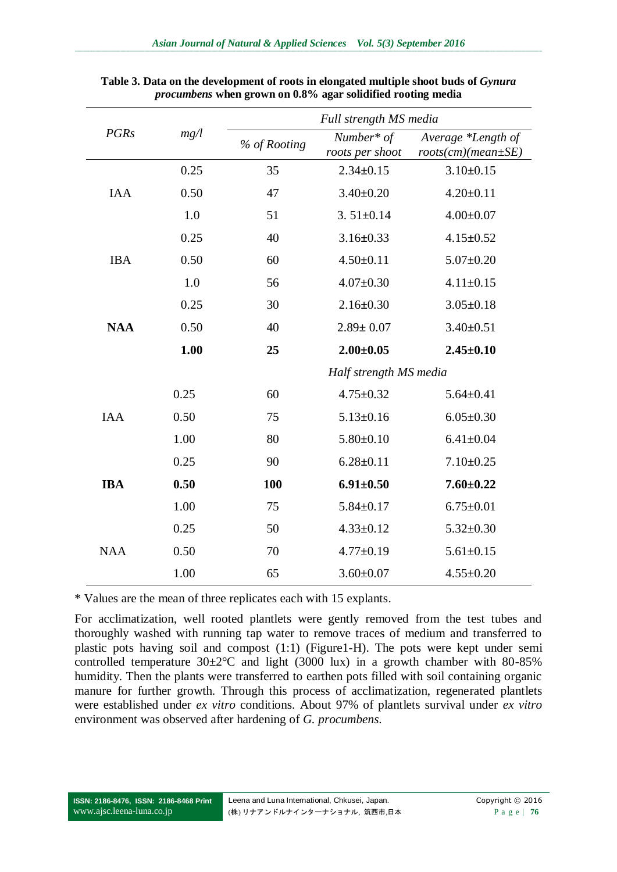|             |      | Full strength MS media |                               |                                                |  |  |
|-------------|------|------------------------|-------------------------------|------------------------------------------------|--|--|
| <b>PGRs</b> | mg/l | % of Rooting           | Number* of<br>roots per shoot | Average *Length of<br>$roots(cm)(mean \pm SE)$ |  |  |
|             | 0.25 | 35                     | $2.34 \pm 0.15$               | $3.10 \pm 0.15$                                |  |  |
| <b>IAA</b>  | 0.50 | 47                     | $3.40 \pm 0.20$               | $4.20 \pm 0.11$                                |  |  |
|             | 1.0  | 51                     | $3.51 \pm 0.14$               | $4.00 \pm 0.07$                                |  |  |
|             | 0.25 | 40                     | $3.16 \pm 0.33$               | $4.15 \pm 0.52$                                |  |  |
| <b>IBA</b>  | 0.50 | 60                     | $4.50 \pm 0.11$               | $5.07 \pm 0.20$                                |  |  |
|             | 1.0  | 56                     | $4.07 \pm 0.30$               | $4.11 \pm 0.15$                                |  |  |
|             | 0.25 | 30                     | $2.16 \pm 0.30$               | $3.05 \pm 0.18$                                |  |  |
| <b>NAA</b>  | 0.50 | 40                     | $2.89 \pm 0.07$               | $3.40 \pm 0.51$                                |  |  |
|             | 1.00 | 25                     | $2.00 \pm 0.05$               | $2.45 \pm 0.10$                                |  |  |
|             |      |                        | Half strength MS media        |                                                |  |  |
|             | 0.25 | 60                     | $4.75 \pm 0.32$               | $5.64 \pm 0.41$                                |  |  |
| <b>IAA</b>  | 0.50 | 75                     | $5.13 \pm 0.16$               | $6.05 \pm 0.30$                                |  |  |
|             | 1.00 | 80                     | $5.80 \pm 0.10$               | $6.41 \pm 0.04$                                |  |  |
|             | 0.25 | 90                     | $6.28 \pm 0.11$               | $7.10 \pm 0.25$                                |  |  |
| <b>IBA</b>  | 0.50 | 100                    | $6.91 \pm 0.50$               | $7.60 \pm 0.22$                                |  |  |
|             | 1.00 | 75                     | $5.84 \pm 0.17$               | $6.75 \pm 0.01$                                |  |  |
|             | 0.25 | 50                     | $4.33 \pm 0.12$               | $5.32 \pm 0.30$                                |  |  |
| <b>NAA</b>  | 0.50 | 70                     | $4.77 \pm 0.19$               | $5.61 \pm 0.15$                                |  |  |
|             | 1.00 | 65                     | $3.60 \pm 0.07$               | $4.55 \pm 0.20$                                |  |  |

**Table 3. Data on the development of roots in elongated multiple shoot buds of** *Gynura procumbens* **when grown on 0.8% agar solidified rooting media**

\* Values are the mean of three replicates each with 15 explants.

For acclimatization, well rooted plantlets were gently removed from the test tubes and thoroughly washed with running tap water to remove traces of medium and transferred to plastic pots having soil and compost (1:1) (Figure1-H). The pots were kept under semi controlled temperature  $30\pm2\degree$ C and light (3000 lux) in a growth chamber with 80-85% humidity. Then the plants were transferred to earthen pots filled with soil containing organic manure for further growth. Through this process of acclimatization, regenerated plantlets were established under *ex vitro* conditions. About 97% of plantlets survival under *ex vitro* environment was observed after hardening of *G. procumbens*.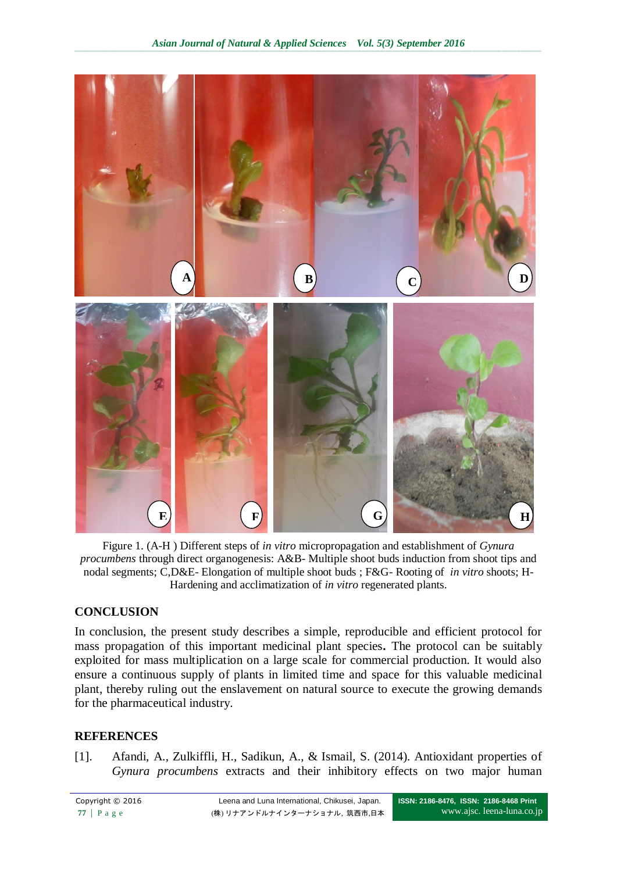

Figure 1. (A-H ) Different steps of *in vitro* micropropagation and establishment of *Gynura procumbens* through direct organogenesis: A&B- Multiple shoot buds induction from shoot tips and nodal segments; C,D&E- Elongation of multiple shoot buds ; F&G- Rooting of *in vitro* shoots; H-Hardening and acclimatization of *in vitro* regenerated plants.

## **CONCLUSION**

In conclusion, the present study describes a simple, reproducible and efficient protocol for mass propagation of this important medicinal plant species**.** The protocol can be suitably exploited for mass multiplication on a large scale for commercial production. It would also ensure a continuous supply of plants in limited time and space for this valuable medicinal plant, thereby ruling out the enslavement on natural source to execute the growing demands for the pharmaceutical industry.

#### **REFERENCES**

[1]. Afandi, A., Zulkiffli, H., Sadikun, A., & Ismail, S. (2014). Antioxidant properties of *Gynura procumbens* extracts and their inhibitory effects on two major human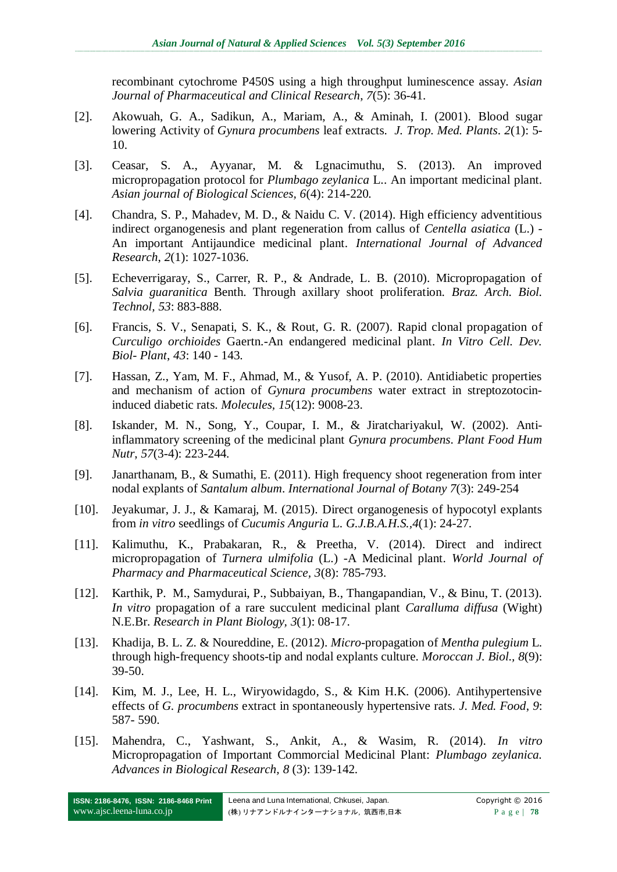recombinant cytochrome P450S using a high throughput luminescence assay. *Asian Journal of Pharmaceutical and Clinical Research*, *7*(5): 36-41.

- [2]. Akowuah, G. A., Sadikun, A., Mariam, A., & Aminah, I. (2001). Blood sugar lowering Activity of *Gynura procumbens* leaf extracts. *J. Trop. Med. Plants*. *2*(1): 5- 10.
- [3]. Ceasar, S. A., Ayyanar, M. & Lgnacimuthu, S. (2013). An improved micropropagation protocol for *Plumbago zeylanica* L.. An important medicinal plant. *Asian journal of Biological Sciences, 6*(4): 214-220*.*
- [4]. Chandra, S. P., Mahadev, M. D., & Naidu C. V. (2014). High efficiency adventitious indirect organogenesis and plant regeneration from callus of *Centella asiatica* (L.) - An important Antijaundice medicinal plant. *International Journal of Advanced Research*, *2*(1): 1027-1036.
- [5]. Echeverrigaray, S., Carrer, R. P., & Andrade, L. B. (2010). Micropropagation of *Salvia guaranitica* Benth. Through axillary shoot proliferation. *Braz. Arch. Biol. Technol, 53*: 883-888.
- [6]. Francis, S. V., Senapati, S. K., & Rout, G. R. (2007). Rapid clonal propagation of *Curculigo orchioides* Gaertn.-An endangered medicinal plant. *In Vitro Cell. Dev. Biol- Plant*, *43*: 140 - 143.
- [7]. Hassan, Z., Yam, M. F., Ahmad, M., & Yusof, A. P. (2010). Antidiabetic properties and mechanism of action of *Gynura procumbens* water extract in streptozotocininduced diabetic rats. *Molecules, 15*(12): 9008-23.
- [8]. Iskander, M. N., Song, Y., Coupar, I. M., & Jiratchariyakul, W. (2002). Antiinflammatory screening of the medicinal plant *Gynura procumbens*. *Plant Food Hum Nutr*, *57*(3-4): 223-244.
- [9]. Janarthanam, B., & Sumathi, E. (2011). High frequency shoot regeneration from inter nodal explants of *Santalum album*. *International Journal of Botany 7*(3): 249-254
- [10]. Jeyakumar, J. J., & Kamaraj, M. (2015). Direct organogenesis of hypocotyl explants from *in vitro* seedlings of *Cucumis Anguria* L. *G.J.B.A.H.S.,4*(1): 24-27.
- [11]. Kalimuthu, K., Prabakaran, R., & Preetha*,* V. (2014). Direct and indirect micropropagation of *Turnera ulmifolia* (L.) -A Medicinal plant. *World Journal of Pharmacy and Pharmaceutical Science, 3*(8): 785-793.
- [12]. Karthik, P. M., Samydurai, P., Subbaiyan, B., Thangapandian, V., & Binu, T. (2013). *In vitro* propagation of a rare succulent medicinal plant *Caralluma diffusa* (Wight) N.E.Br. *Research in Plant Biology, 3*(1): 08-17.
- [13]. Khadija, B. L. Z. & Noureddine, E. (2012). *Micro*-propagation of *Mentha pulegium* L*.*  through high-frequency shoots-tip and nodal explants culture*. Moroccan J. Biol., 8*(9): 39-50.
- [14]. Kim, M. J., Lee, H. L., Wiryowidagdo, S., & Kim H.K. (2006). Antihypertensive effects of *G. procumbens* extract in spontaneously hypertensive rats. *J. Med. Food*, *9*: 587- 590.
- [15]. Mahendra, C., Yashwant, S., Ankit, A., & Wasim, R. (2014). *In vitro* Micropropagation of Important Commorcial Medicinal Plant: *Plumbago zeylanica. Advances in Biological Research, 8* (3): 139-142.